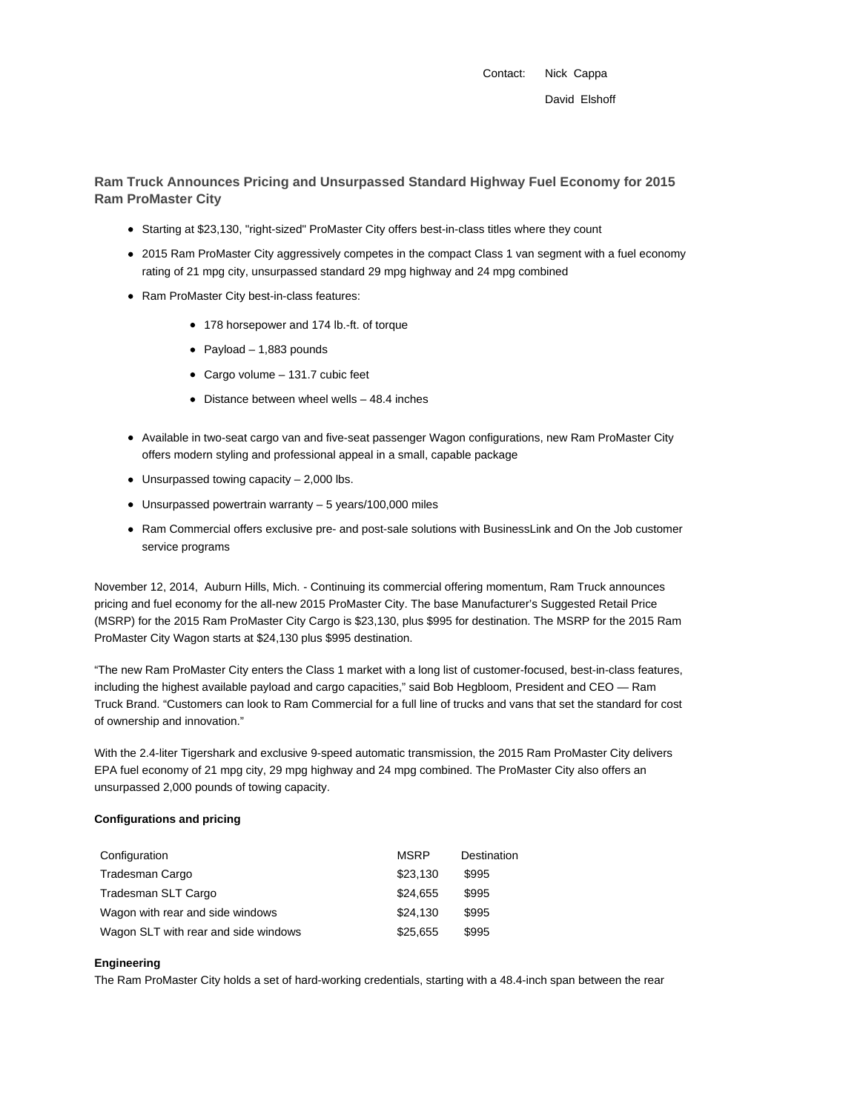Contact: Nick Cappa David Elshoff

**Ram Truck Announces Pricing and Unsurpassed Standard Highway Fuel Economy for 2015 Ram ProMaster City**

- Starting at \$23,130, "right-sized" ProMaster City offers best-in-class titles where they count
- 2015 Ram ProMaster City aggressively competes in the compact Class 1 van segment with a fuel economy rating of 21 mpg city, unsurpassed standard 29 mpg highway and 24 mpg combined
- Ram ProMaster City best-in-class features:
	- 178 horsepower and 174 lb.-ft. of torque
	- Payload  $-1,883$  pounds
	- Cargo volume 131.7 cubic feet
	- Distance between wheel wells 48.4 inches
- Available in two-seat cargo van and five-seat passenger Wagon configurations, new Ram ProMaster City offers modern styling and professional appeal in a small, capable package
- $\bullet$  Unsurpassed towing capacity  $-2,000$  lbs.
- Unsurpassed powertrain warranty 5 years/100,000 miles
- Ram Commercial offers exclusive pre- and post-sale solutions with BusinessLink and On the Job customer service programs

November 12, 2014, Auburn Hills, Mich. - Continuing its commercial offering momentum, Ram Truck announces pricing and fuel economy for the all-new 2015 ProMaster City. The base Manufacturer's Suggested Retail Price (MSRP) for the 2015 Ram ProMaster City Cargo is \$23,130, plus \$995 for destination. The MSRP for the 2015 Ram ProMaster City Wagon starts at \$24,130 plus \$995 destination.

"The new Ram ProMaster City enters the Class 1 market with a long list of customer-focused, best-in-class features, including the highest available payload and cargo capacities," said Bob Hegbloom, President and CEO — Ram Truck Brand. "Customers can look to Ram Commercial for a full line of trucks and vans that set the standard for cost of ownership and innovation."

With the 2.4-liter Tigershark and exclusive 9-speed automatic transmission, the 2015 Ram ProMaster City delivers EPA fuel economy of 21 mpg city, 29 mpg highway and 24 mpg combined. The ProMaster City also offers an unsurpassed 2,000 pounds of towing capacity.

#### **Configurations and pricing**

| Configuration                        | <b>MSRP</b> | Destination |
|--------------------------------------|-------------|-------------|
| Tradesman Cargo                      | \$23,130    | \$995       |
| Tradesman SLT Cargo                  | \$24.655    | \$995       |
| Wagon with rear and side windows     | \$24.130    | \$995       |
| Wagon SLT with rear and side windows | \$25,655    | \$995       |

## **Engineering**

The Ram ProMaster City holds a set of hard-working credentials, starting with a 48.4-inch span between the rear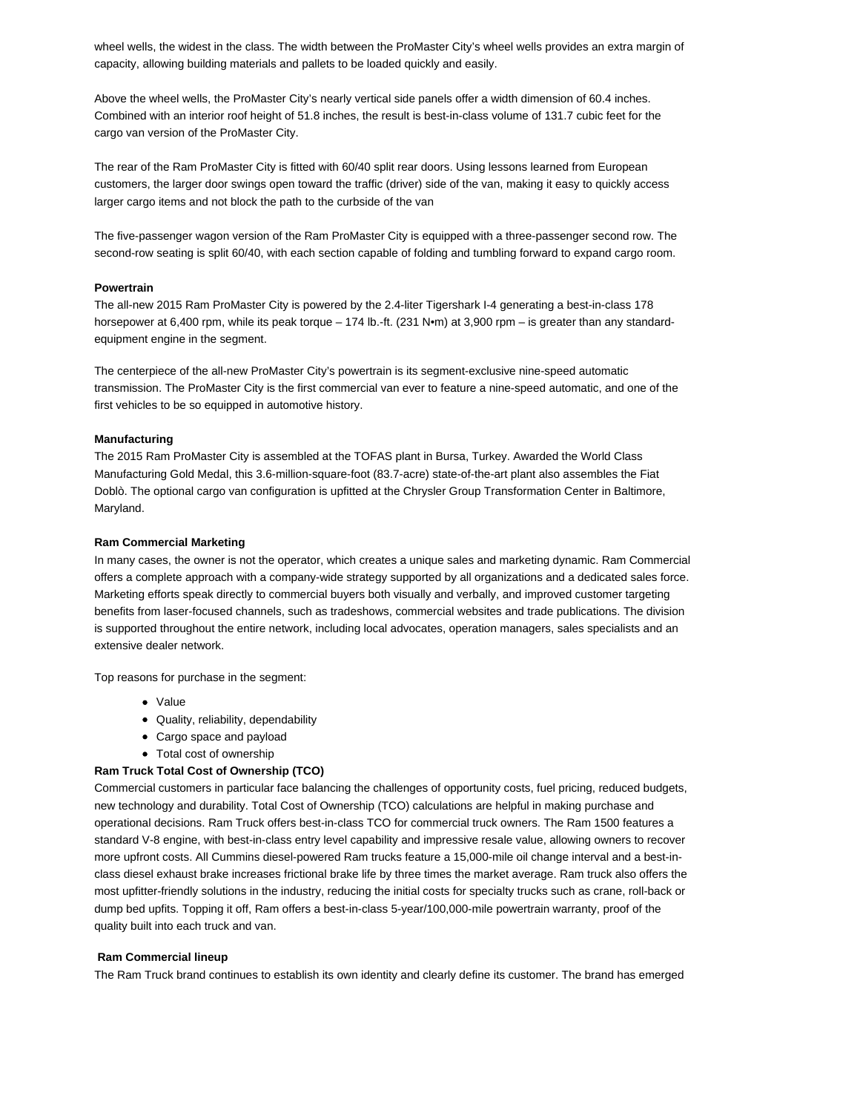wheel wells, the widest in the class. The width between the ProMaster City's wheel wells provides an extra margin of capacity, allowing building materials and pallets to be loaded quickly and easily.

Above the wheel wells, the ProMaster City's nearly vertical side panels offer a width dimension of 60.4 inches. Combined with an interior roof height of 51.8 inches, the result is best-in-class volume of 131.7 cubic feet for the cargo van version of the ProMaster City.

The rear of the Ram ProMaster City is fitted with 60/40 split rear doors. Using lessons learned from European customers, the larger door swings open toward the traffic (driver) side of the van, making it easy to quickly access larger cargo items and not block the path to the curbside of the van

The five-passenger wagon version of the Ram ProMaster City is equipped with a three-passenger second row. The second-row seating is split 60/40, with each section capable of folding and tumbling forward to expand cargo room.

## **Powertrain**

The all-new 2015 Ram ProMaster City is powered by the 2.4-liter Tigershark I-4 generating a best-in-class 178 horsepower at 6,400 rpm, while its peak torque – 174 lb.-ft. (231 N•m) at 3,900 rpm – is greater than any standardequipment engine in the segment.

The centerpiece of the all-new ProMaster City's powertrain is its segment-exclusive nine-speed automatic transmission. The ProMaster City is the first commercial van ever to feature a nine-speed automatic, and one of the first vehicles to be so equipped in automotive history.

# **Manufacturing**

The 2015 Ram ProMaster City is assembled at the TOFAS plant in Bursa, Turkey. Awarded the World Class Manufacturing Gold Medal, this 3.6-million-square-foot (83.7-acre) state-of-the-art plant also assembles the Fiat Doblò. The optional cargo van configuration is upfitted at the Chrysler Group Transformation Center in Baltimore, Maryland.

## **Ram Commercial Marketing**

In many cases, the owner is not the operator, which creates a unique sales and marketing dynamic. Ram Commercial offers a complete approach with a company-wide strategy supported by all organizations and a dedicated sales force. Marketing efforts speak directly to commercial buyers both visually and verbally, and improved customer targeting benefits from laser-focused channels, such as tradeshows, commercial websites and trade publications. The division is supported throughout the entire network, including local advocates, operation managers, sales specialists and an extensive dealer network.

Top reasons for purchase in the segment:

- Value
- Quality, reliability, dependability
- Cargo space and payload
- Total cost of ownership

# **Ram Truck Total Cost of Ownership (TCO)**

Commercial customers in particular face balancing the challenges of opportunity costs, fuel pricing, reduced budgets, new technology and durability. Total Cost of Ownership (TCO) calculations are helpful in making purchase and operational decisions. Ram Truck offers best-in-class TCO for commercial truck owners. The Ram 1500 features a standard V-8 engine, with best-in-class entry level capability and impressive resale value, allowing owners to recover more upfront costs. All Cummins diesel-powered Ram trucks feature a 15,000-mile oil change interval and a best-inclass diesel exhaust brake increases frictional brake life by three times the market average. Ram truck also offers the most upfitter-friendly solutions in the industry, reducing the initial costs for specialty trucks such as crane, roll-back or dump bed upfits. Topping it off, Ram offers a best-in-class 5-year/100,000-mile powertrain warranty, proof of the quality built into each truck and van.

#### **Ram Commercial lineup**

The Ram Truck brand continues to establish its own identity and clearly define its customer. The brand has emerged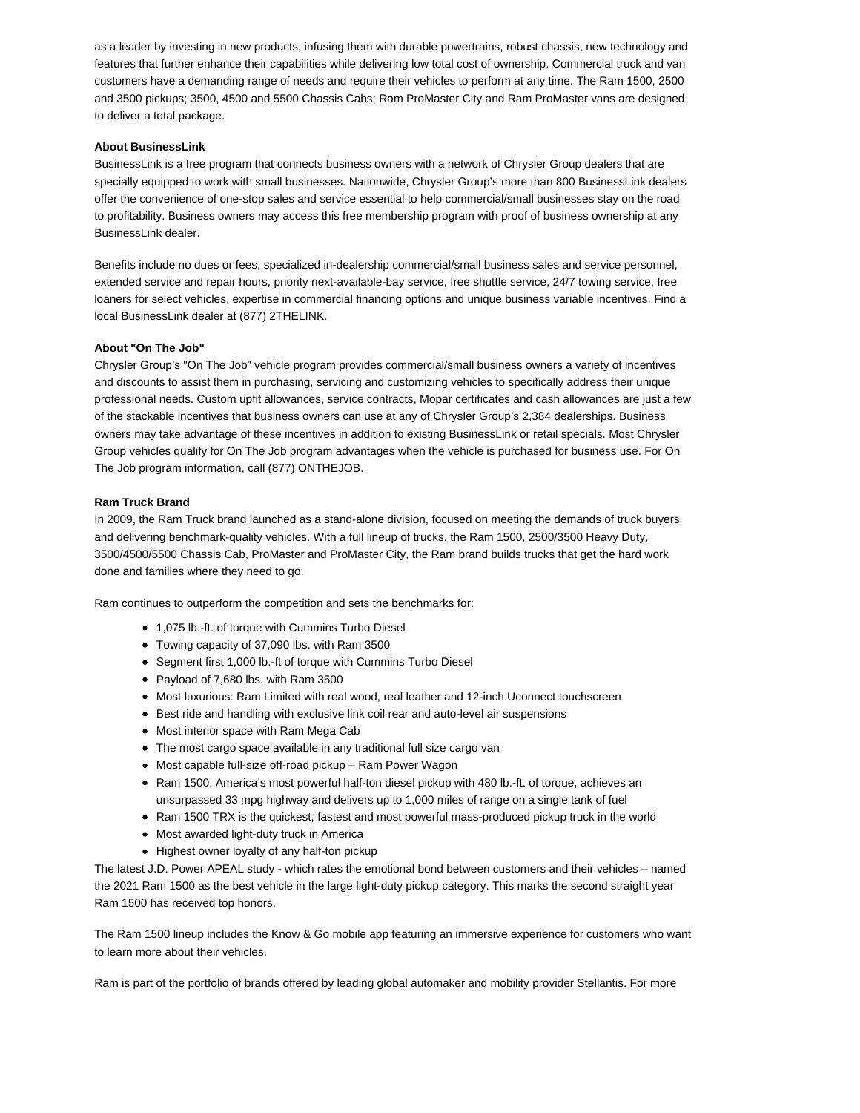as a leader by investing in new products, infusing them with durable powertrains, robust chassis, new technology and features that further enhance their capabilities while delivering low total cost of ownership. Commercial truck and van customers have a demanding range of needs and require their vehicles to perform at any time. The Ram 1500, 2500 and 3500 pickups; 3500, 4500 and 5500 Chassis Cabs; Ram ProMaster City and Ram ProMaster vans are designed to deliver a total package.

# **About BusinessLink**

BusinessLink is a free program that connects business owners with a network of Chrysler Group dealers that are specially equipped to work with small businesses. Nationwide, Chrysler Group's more than 800 BusinessLink dealers offer the convenience of one-stop sales and service essential to help commercial/small businesses stay on the road to profitability. Business owners may access this free membership program with proof of business ownership at any BusinessLink dealer.

Benefits include no dues or fees, specialized in-dealership commercial/small business sales and service personnel, extended service and repair hours, priority next-available-bay service, free shuttle service, 24/7 towing service, free loaners for select vehicles, expertise in commercial financing options and unique business variable incentives. Find a local BusinessLink dealer at (877) 2THELINK.

## **About "On The Job"**

Chrysler Group's "On The Job" vehicle program provides commercial/small business owners a variety of incentives and discounts to assist them in purchasing, servicing and customizing vehicles to specifically address their unique professional needs. Custom upfit allowances, service contracts, Mopar certificates and cash allowances are just a few of the stackable incentives that business owners can use at any of Chrysler Group's 2,384 dealerships. Business owners may take advantage of these incentives in addition to existing BusinessLink or retail specials. Most Chrysler Group vehicles qualify for On The Job program advantages when the vehicle is purchased for business use. For On The Job program information, call (877) ONTHEJOB.

#### **Ram Truck Brand**

In 2009, the Ram Truck brand launched as a stand-alone division, focused on meeting the demands of truck buyers and delivering benchmark-quality vehicles. With a full lineup of trucks, the Ram 1500, 2500/3500 Heavy Duty, 3500/4500/5500 Chassis Cab, ProMaster and ProMaster City, the Ram brand builds trucks that get the hard work done and families where they need to go.

Ram continues to outperform the competition and sets the benchmarks for:

- 1,075 lb.-ft. of torque with Cummins Turbo Diesel
- Towing capacity of 37,090 lbs. with Ram 3500
- Segment first 1,000 lb.-ft of torque with Cummins Turbo Diesel
- Payload of 7,680 lbs. with Ram 3500
- Most luxurious: Ram Limited with real wood, real leather and 12-inch Uconnect touchscreen
- Best ride and handling with exclusive link coil rear and auto-level air suspensions
- Most interior space with Ram Mega Cab
- The most cargo space available in any traditional full size cargo van
- Most capable full-size off-road pickup Ram Power Wagon
- Ram 1500, America's most powerful half-ton diesel pickup with 480 lb.-ft. of torque, achieves an unsurpassed 33 mpg highway and delivers up to 1,000 miles of range on a single tank of fuel
- Ram 1500 TRX is the quickest, fastest and most powerful mass-produced pickup truck in the world
- Most awarded light-duty truck in America
- Highest owner loyalty of any half-ton pickup

The latest J.D. Power APEAL study - which rates the emotional bond between customers and their vehicles – named the 2021 Ram 1500 as the best vehicle in the large light-duty pickup category. This marks the second straight year Ram 1500 has received top honors.

The Ram 1500 lineup includes the Know & Go mobile app featuring an immersive experience for customers who want to learn more about their vehicles.

Ram is part of the portfolio of brands offered by leading global automaker and mobility provider Stellantis. For more